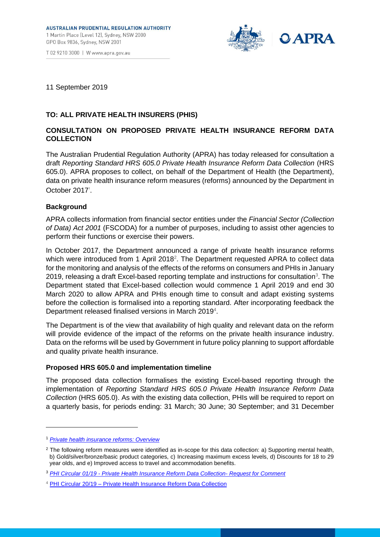

T 02 9210 3000 | W www.apra.gov.au

## 11 September 2019

# **TO: ALL PRIVATE HEALTH INSURERS (PHIS)**

# **CONSULTATION ON PROPOSED PRIVATE HEALTH INSURANCE REFORM DATA COLLECTION**

The Australian Prudential Regulation Authority (APRA) has today released for consultation a draft *Reporting Standard HRS 605.0 Private Health Insurance Reform Data Collection* (HRS 605.0). APRA proposes to collect, on behalf of the Department of Health (the Department), data on private health insurance reform measures (reforms) announced by the Department in October 2017<sup>1</sup>.

## **Background**

APRA collects information from financial sector entities under the *Financial Sector (Collection of Data) Act 2001* (FSCODA) for a number of purposes, including to assist other agencies to perform their functions or exercise their powers.

In October 2017, the Department announced a range of private health insurance reforms which were introduced from 1 April 2018<sup>2</sup>. The Department requested APRA to collect data for the monitoring and analysis of the effects of the reforms on consumers and PHIs in January 2019, releasing a draft Excel-based reporting template and instructions for consultation<sup>3</sup>. The Department stated that Excel-based collection would commence 1 April 2019 and end 30 March 2020 to allow APRA and PHIs enough time to consult and adapt existing systems before the collection is formalised into a reporting standard. After incorporating feedback the Department released finalised versions in March 2019<sup>4</sup>.

The Department is of the view that availability of high quality and relevant data on the reform will provide evidence of the impact of the reforms on the private health insurance industry. Data on the reforms will be used by Government in future policy planning to support affordable and quality private health insurance.

## **Proposed HRS 605.0 and implementation timeline**

The proposed data collection formalises the existing Excel-based reporting through the implementation of *Reporting Standard HRS 605.0 Private Health Insurance Reform Data Collection* (HRS 605.0). As with the existing data collection, PHIs will be required to report on a quarterly basis, for periods ending: 31 March; 30 June; 30 September; and 31 December

-

<sup>1</sup> *[Private health insurance reforms: Overview](https://www1.health.gov.au/internet/main/publishing.nsf/Content/private-health-insurance-reforms-fact-sheet-summary)*

<sup>&</sup>lt;sup>2</sup> The following reform measures were identified as in-scope for this data collection: a) Supporting mental health, b) Gold/silver/bronze/basic product categories, c) Increasing maximum excess levels, d) Discounts for 18 to 29 year olds, and e) Improved access to travel and accommodation benefits.

<sup>3</sup> *PHI Circular 01/19 - [Private Health Insurance Reform Data Collection-](https://www1.health.gov.au/internet/main/publishing.nsf/Content/health-phicircular2019-01) Request for Comment*

<sup>4</sup> PHI Circular 20/19 – [Private Health Insurance Reform Data Collection](https://www1.health.gov.au/internet/main/publishing.nsf/Content/health-phicircular2019-20)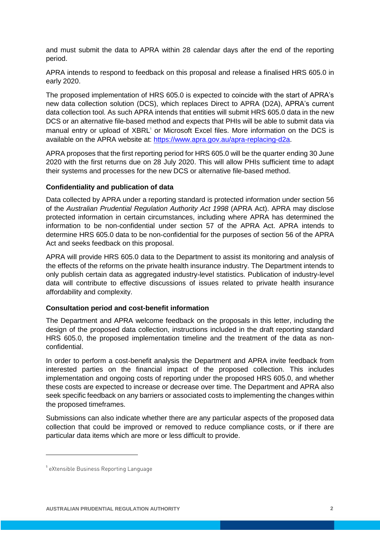and must submit the data to APRA within 28 calendar days after the end of the reporting period.

APRA intends to respond to feedback on this proposal and release a finalised HRS 605.0 in early 2020.

The proposed implementation of HRS 605.0 is expected to coincide with the start of APRA's new data collection solution (DCS), which replaces Direct to APRA (D2A), APRA's current data collection tool. As such APRA intends that entities will submit HRS 605.0 data in the new DCS or an alternative file-based method and expects that PHIs will be able to submit data via manual entry or upload of XBRL<sup>5</sup> or Microsoft Excel files. More information on the DCS is available on the APRA website at: [https://www.apra.gov.au/apra-replacing-d2a.](https://www.apra.gov.au/apra-replacing-d2a)

APRA proposes that the first reporting period for HRS 605.0 will be the quarter ending 30 June 2020 with the first returns due on 28 July 2020. This will allow PHIs sufficient time to adapt their systems and processes for the new DCS or alternative file-based method.

### **Confidentiality and publication of data**

Data collected by APRA under a reporting standard is protected information under section 56 of the *Australian Prudential Regulation Authority Act 1998* (APRA Act). APRA may disclose protected information in certain circumstances, including where APRA has determined the information to be non-confidential under section 57 of the APRA Act. APRA intends to determine HRS 605.0 data to be non-confidential for the purposes of section 56 of the APRA Act and seeks feedback on this proposal.

APRA will provide HRS 605.0 data to the Department to assist its monitoring and analysis of the effects of the reforms on the private health insurance industry. The Department intends to only publish certain data as aggregated industry-level statistics. Publication of industry-level data will contribute to effective discussions of issues related to private health insurance affordability and complexity.

#### **Consultation period and cost-benefit information**

The Department and APRA welcome feedback on the proposals in this letter, including the design of the proposed data collection, instructions included in the draft reporting standard HRS 605.0, the proposed implementation timeline and the treatment of the data as nonconfidential.

In order to perform a cost-benefit analysis the Department and APRA invite feedback from interested parties on the financial impact of the proposed collection. This includes implementation and ongoing costs of reporting under the proposed HRS 605.0, and whether these costs are expected to increase or decrease over time. The Department and APRA also seek specific feedback on any barriers or associated costs to implementing the changes within the proposed timeframes.

Submissions can also indicate whether there are any particular aspects of the proposed data collection that could be improved or removed to reduce compliance costs, or if there are particular data items which are more or less difficult to provide.

-

<sup>5</sup> eXtensible Business Reporting Language